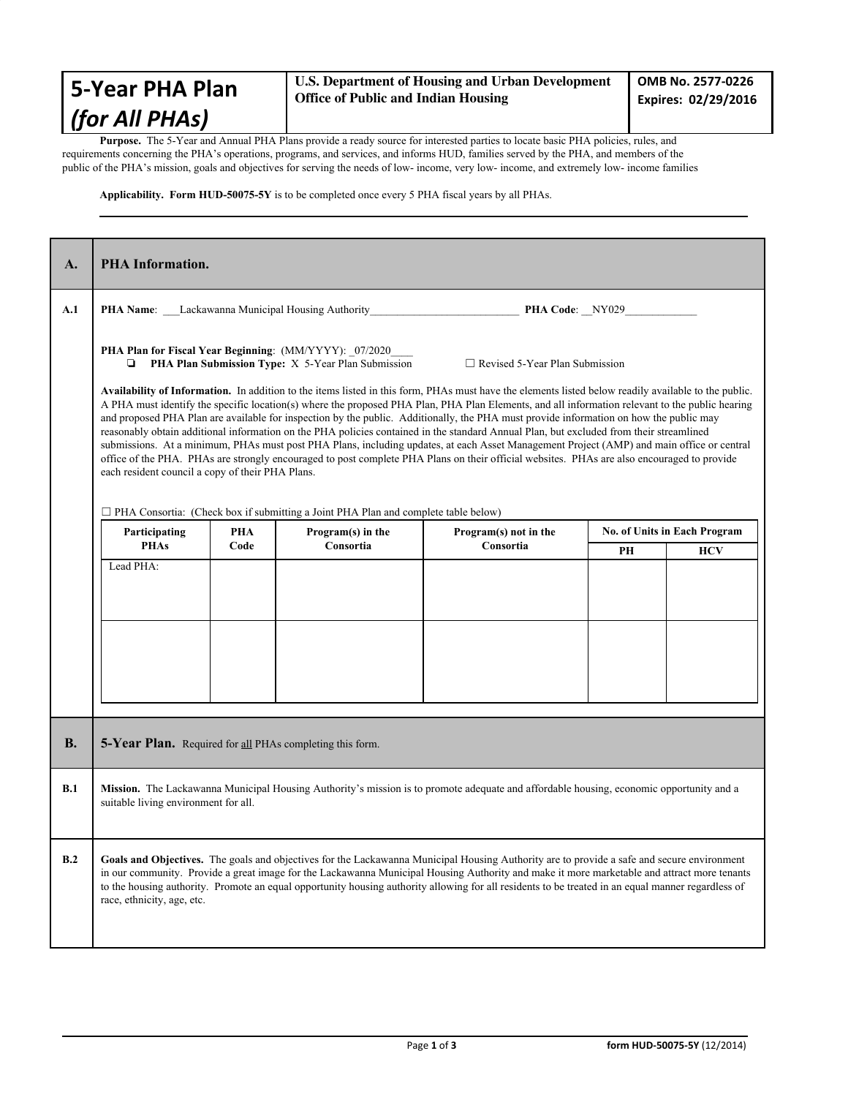| <b>5-Year PHA Plan</b>                                                                                                               | U.S. Department of Housing and Urban Development<br><b>Office of Public and Indian Housing</b> | OMB No. 2577-0226<br>Expires: 02/29/2016 |  |  |
|--------------------------------------------------------------------------------------------------------------------------------------|------------------------------------------------------------------------------------------------|------------------------------------------|--|--|
| (for All PHAs)                                                                                                                       |                                                                                                |                                          |  |  |
| <b>Purpose</b> The 5 Veer and Annual DHA Plans provide a ready source for interested parties to locate basic DHA policies, rules and |                                                                                                |                                          |  |  |

**Purpose.** The 5-Year and Annual PHA Plans provide a ready source for interested parties to locate basic PHA policies, rules, and requirements concerning the PHA's operations, programs, and services, and informs HUD, families served by the PHA, and members of the public of the PHA's mission, goals and objectives for serving the needs of low- income, very low- income, and extremely low- income families

**Applicability. Form HUD-50075-5Y** is to be completed once every 5 PHA fiscal years by all PHAs.

| $\mathbf{A}$ . | <b>PHA Information.</b>                                                                                                                                                                                                                                                                                                                                                                                                                                                                                                                                                                                                                                                                                                                                                                                                                                                                                                                                                                                                                  |            |                   |                                                                                                                                                                                                                                                                                                                                                                                                                                                 |                              |            |  |
|----------------|------------------------------------------------------------------------------------------------------------------------------------------------------------------------------------------------------------------------------------------------------------------------------------------------------------------------------------------------------------------------------------------------------------------------------------------------------------------------------------------------------------------------------------------------------------------------------------------------------------------------------------------------------------------------------------------------------------------------------------------------------------------------------------------------------------------------------------------------------------------------------------------------------------------------------------------------------------------------------------------------------------------------------------------|------------|-------------------|-------------------------------------------------------------------------------------------------------------------------------------------------------------------------------------------------------------------------------------------------------------------------------------------------------------------------------------------------------------------------------------------------------------------------------------------------|------------------------------|------------|--|
| A.1            | <b>PHA Name:</b> Lackawanna Municipal Housing Authority<br><b>PHA Code: NY029</b>                                                                                                                                                                                                                                                                                                                                                                                                                                                                                                                                                                                                                                                                                                                                                                                                                                                                                                                                                        |            |                   |                                                                                                                                                                                                                                                                                                                                                                                                                                                 |                              |            |  |
|                | PHA Plan for Fiscal Year Beginning: (MM/YYYY): 07/2020<br>PHA Plan Submission Type: X 5-Year Plan Submission<br>□ Revised 5-Year Plan Submission<br>o.                                                                                                                                                                                                                                                                                                                                                                                                                                                                                                                                                                                                                                                                                                                                                                                                                                                                                   |            |                   |                                                                                                                                                                                                                                                                                                                                                                                                                                                 |                              |            |  |
|                | Availability of Information. In addition to the items listed in this form, PHAs must have the elements listed below readily available to the public.<br>A PHA must identify the specific location(s) where the proposed PHA Plan, PHA Plan Elements, and all information relevant to the public hearing<br>and proposed PHA Plan are available for inspection by the public. Additionally, the PHA must provide information on how the public may<br>reasonably obtain additional information on the PHA policies contained in the standard Annual Plan, but excluded from their streamlined<br>submissions. At a minimum, PHAs must post PHA Plans, including updates, at each Asset Management Project (AMP) and main office or central<br>office of the PHA. PHAs are strongly encouraged to post complete PHA Plans on their official websites. PHAs are also encouraged to provide<br>each resident council a copy of their PHA Plans.<br>$\Box$ PHA Consortia: (Check box if submitting a Joint PHA Plan and complete table below) |            |                   |                                                                                                                                                                                                                                                                                                                                                                                                                                                 |                              |            |  |
|                | Participating                                                                                                                                                                                                                                                                                                                                                                                                                                                                                                                                                                                                                                                                                                                                                                                                                                                                                                                                                                                                                            | <b>PHA</b> | Program(s) in the | Program(s) not in the                                                                                                                                                                                                                                                                                                                                                                                                                           | No. of Units in Each Program |            |  |
|                | <b>PHAs</b><br>Lead PHA:                                                                                                                                                                                                                                                                                                                                                                                                                                                                                                                                                                                                                                                                                                                                                                                                                                                                                                                                                                                                                 | Code       | Consortia         | Consortia                                                                                                                                                                                                                                                                                                                                                                                                                                       | PH                           | <b>HCV</b> |  |
| <b>B.</b>      | 5-Year Plan. Required for all PHAs completing this form.                                                                                                                                                                                                                                                                                                                                                                                                                                                                                                                                                                                                                                                                                                                                                                                                                                                                                                                                                                                 |            |                   |                                                                                                                                                                                                                                                                                                                                                                                                                                                 |                              |            |  |
| B.1            | Mission. The Lackawanna Municipal Housing Authority's mission is to promote adequate and affordable housing, economic opportunity and a<br>suitable living environment for all.                                                                                                                                                                                                                                                                                                                                                                                                                                                                                                                                                                                                                                                                                                                                                                                                                                                          |            |                   |                                                                                                                                                                                                                                                                                                                                                                                                                                                 |                              |            |  |
| B.2            | race, ethnicity, age, etc.                                                                                                                                                                                                                                                                                                                                                                                                                                                                                                                                                                                                                                                                                                                                                                                                                                                                                                                                                                                                               |            |                   | Goals and Objectives. The goals and objectives for the Lackawanna Municipal Housing Authority are to provide a safe and secure environment<br>in our community. Provide a great image for the Lackawanna Municipal Housing Authority and make it more marketable and attract more tenants<br>to the housing authority. Promote an equal opportunity housing authority allowing for all residents to be treated in an equal manner regardless of |                              |            |  |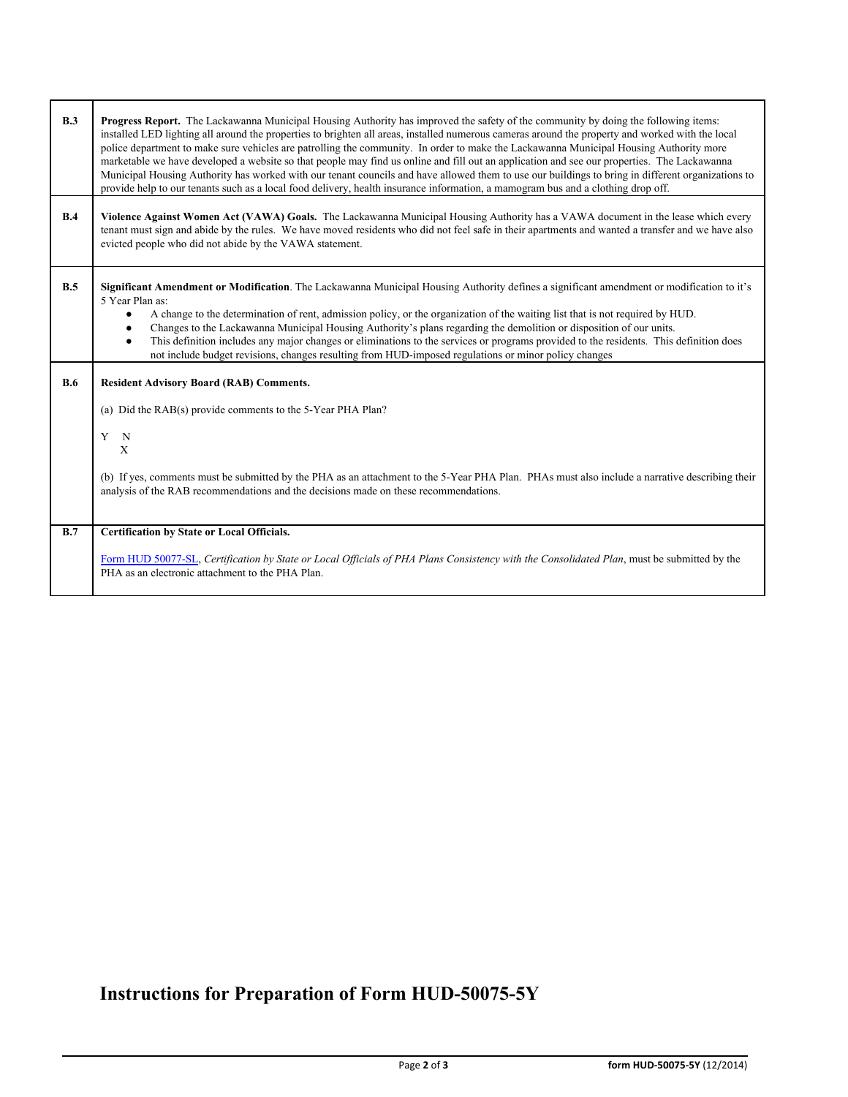| B.3 | <b>Progress Report.</b> The Lackawanna Municipal Housing Authority has improved the safety of the community by doing the following items:<br>installed LED lighting all around the properties to brighten all areas, installed numerous cameras around the property and worked with the local<br>police department to make sure vehicles are patrolling the community. In order to make the Lackawanna Municipal Housing Authority more<br>marketable we have developed a website so that people may find us online and fill out an application and see our properties. The Lackawanna<br>Municipal Housing Authority has worked with our tenant councils and have allowed them to use our buildings to bring in different organizations to<br>provide help to our tenants such as a local food delivery, health insurance information, a mamogram bus and a clothing drop off. |
|-----|---------------------------------------------------------------------------------------------------------------------------------------------------------------------------------------------------------------------------------------------------------------------------------------------------------------------------------------------------------------------------------------------------------------------------------------------------------------------------------------------------------------------------------------------------------------------------------------------------------------------------------------------------------------------------------------------------------------------------------------------------------------------------------------------------------------------------------------------------------------------------------|
| B.4 | Violence Against Women Act (VAWA) Goals. The Lackawanna Municipal Housing Authority has a VAWA document in the lease which every<br>tenant must sign and abide by the rules. We have moved residents who did not feel safe in their apartments and wanted a transfer and we have also<br>evicted people who did not abide by the VAWA statement.                                                                                                                                                                                                                                                                                                                                                                                                                                                                                                                                |
| B.5 | Significant Amendment or Modification. The Lackawanna Municipal Housing Authority defines a significant amendment or modification to it's<br>5 Year Plan as:<br>A change to the determination of rent, admission policy, or the organization of the waiting list that is not required by HUD.<br>$\bullet$<br>Changes to the Lackawanna Municipal Housing Authority's plans regarding the demolition or disposition of our units.<br>This definition includes any major changes or eliminations to the services or programs provided to the residents. This definition does<br>$\bullet$<br>not include budget revisions, changes resulting from HUD-imposed regulations or minor policy changes                                                                                                                                                                                |
| B.6 | <b>Resident Advisory Board (RAB) Comments.</b><br>(a) Did the RAB(s) provide comments to the 5-Year PHA Plan?<br>Y N<br>$\mathbf{X}$<br>(b) If yes, comments must be submitted by the PHA as an attachment to the 5-Year PHA Plan. PHAs must also include a narrative describing their<br>analysis of the RAB recommendations and the decisions made on these recommendations.                                                                                                                                                                                                                                                                                                                                                                                                                                                                                                  |
| B.7 | <b>Certification by State or Local Officials.</b><br>Form HUD 50077-SL, Certification by State or Local Officials of PHA Plans Consistency with the Consolidated Plan, must be submitted by the<br>PHA as an electronic attachment to the PHA Plan.                                                                                                                                                                                                                                                                                                                                                                                                                                                                                                                                                                                                                             |

# **Instructions for Preparation of Form HUD-50075-5Y**